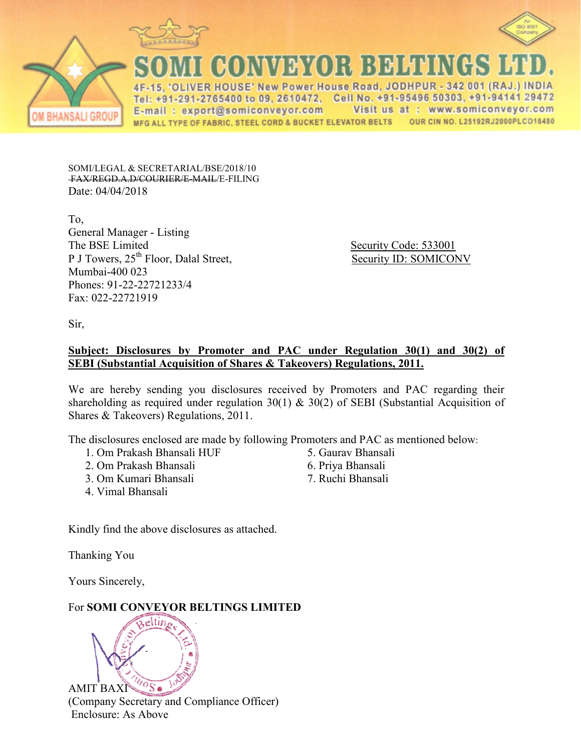



**CONWEYOR BEHENG** OLIVER HOUSE' New Power House Road, JODHPUR - 342 001 (RAJ.) INDIA Tel: +91-291-2765400 to 09, 2610472, Cell No. +91-95496 50303, +91-94141 29472 E-mail: export@somiconveyor.com Visit us at: www.somiconveyor.com

MFG ALL TYPE OF FABRIC, STEEL CORD & BUCKET ELEVATOR BELTS OUR CIN NO. L25192RJ2000PLCO16480

SOMI/LEGAL & SECRETARIAL/BSE/2018/10 FAX/REGD.A.D/COURIER/E-MAIL/E-FILING Date: 04/04/2018

To, General Manager - Listing The BSE Limited Security Code: 533001 P J Towers, 25<sup>th</sup> Floor, Dalal Street, Security ID: SOMICONV Mumbai-400 023 Phones: 91-22-22721233/4 Fax: 022-22721919

Sir,

**BHANSALI GROUP** 

# **Subject: Disclosures by Promoter and PAC under Regulation 30(1) and 30(2) of SEBI (Substantial Acquisition of Shares & Takeovers) Regulations, 2011.**

We are hereby sending you disclosures received by Promoters and PAC regarding their shareholding as required under regulation 30(1)  $\&$  30(2) of SEBI (Substantial Acquisition of Shares & Takeovers) Regulations, 2011.

The disclosures enclosed are made by following Promoters and PAC as mentioned below:

- 1. Om Prakash Bhansali HUF
- 2. Om Prakash Bhansali
- 3. Om Kumari Bhansali
- 4. Vimal Bhansali
- 5. Gaurav Bhansali
- 6. Priya Bhansali
- 7. Ruchi Bhansali

Kindly find the above disclosures as attached.

Thanking You

Yours Sincerely,

For **SOMI CONVEYOR BELTINGS LIMITED**



eltin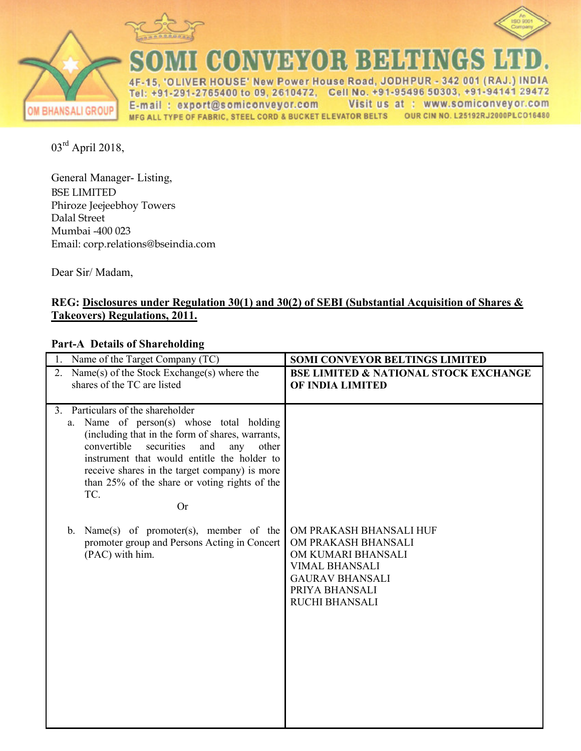



GONNER BEHENG  $\mathbf{S}$ 

ER HOUSE' New Power House Road, JODHPUR - 342 001 (RAJ.) INDIA  $4F$ -2765400 to 09, 2610472, Cell No. +91-95496 50303, +91-94141 29472 Tel  $+91 - 291$ E-mail: export@somiconveyor.com Visit us at : www.somiconveyor.com OUR CIN NO. L25192RJ2000PLCO16480 MFG ALL TYPE OF FABRIC, STEEL CORD & BUCKET ELEVATOR BELTS

03rd April 2018,

**OM BHANSALI GROUP** 

General Manager- Listing, BSE LIMITED Phiroze Jeejeebhoy Towers Dalal Street Mumbai -400 023 Email: corp.relations@bseindia.com

Dear Sir/ Madam,

# **REG: Disclosures under Regulation 30(1) and 30(2) of SEBI (Substantial Acquisition of Shares & Takeovers) Regulations, 2011.**

# **Part-A Details of Shareholding**

| Name of the Target Company (TC)                                                                                                                                                                                                                                                                                                                                                                                                                                                             | <b>SOMI CONVEYOR BELTINGS LIMITED</b>                                                                                                                              |
|---------------------------------------------------------------------------------------------------------------------------------------------------------------------------------------------------------------------------------------------------------------------------------------------------------------------------------------------------------------------------------------------------------------------------------------------------------------------------------------------|--------------------------------------------------------------------------------------------------------------------------------------------------------------------|
| Name(s) of the Stock Exchange(s) where the<br>$2_{-}$<br>shares of the TC are listed                                                                                                                                                                                                                                                                                                                                                                                                        | <b>BSE LIMITED &amp; NATIONAL STOCK EXCHANGE</b><br>OF INDIA LIMITED                                                                                               |
| Particulars of the shareholder<br>3 <sub>1</sub><br>Name of person(s) whose total holding<br>a.<br>(including that in the form of shares, warrants,<br>convertible<br>securities<br>and<br>any<br>other<br>instrument that would entitle the holder to<br>receive shares in the target company) is more<br>than 25% of the share or voting rights of the<br>TC.<br><b>Or</b><br>b. Name(s) of promoter(s), member of the<br>promoter group and Persons Acting in Concert<br>(PAC) with him. | OM PRAKASH BHANSALI HUF<br>OM PRAKASH BHANSALI<br>OM KUMARI BHANSALI<br><b>VIMAL BHANSALI</b><br><b>GAURAV BHANSALI</b><br>PRIYA BHANSALI<br><b>RUCHI BHANSALI</b> |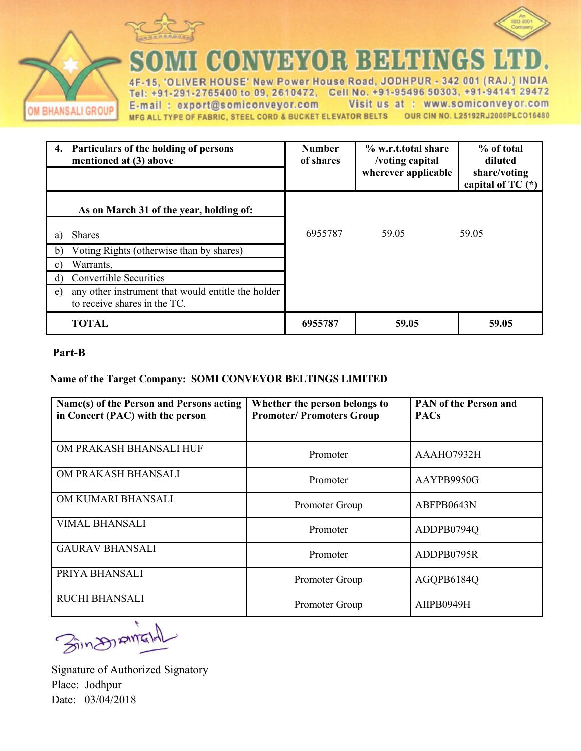



COMMEYOR BEHI ۲

VER HOUSE' New Power House Road, JODHPUR - 342 001 (RAJ.) IN **DIA**  $4F$ +91-291-2765400 to 09, 2610472, Cell No. +91-95496 50303, +91-94141 29472 Tel E-mail: export@somiconveyor.com Visit us at : www.somiconveyor.com MFG ALL TYPE OF FABRIC, STEEL CORD & BUCKET ELEVATOR BELTS OUR CIN NO. L25192RJ2000PLCO16480

|               | 4. Particulars of the holding of persons<br>mentioned at (3) above                 | <b>Number</b><br>of shares | % w.r.t.total share<br>/voting capital<br>wherever applicable | % of total<br>diluted<br>share/voting<br>capital of TC $(*)$ |
|---------------|------------------------------------------------------------------------------------|----------------------------|---------------------------------------------------------------|--------------------------------------------------------------|
|               | As on March 31 of the year, holding of:                                            |                            |                                                               |                                                              |
| a)            | <b>Shares</b>                                                                      | 6955787                    | 59.05                                                         | 59.05                                                        |
| b)            | Voting Rights (otherwise than by shares)                                           |                            |                                                               |                                                              |
| $\mathbf{c})$ | Warrants,                                                                          |                            |                                                               |                                                              |
| $\rm d$       | <b>Convertible Securities</b>                                                      |                            |                                                               |                                                              |
| e)            | any other instrument that would entitle the holder<br>to receive shares in the TC. |                            |                                                               |                                                              |
|               | <b>TOTAL</b>                                                                       | 6955787                    | 59.05                                                         | 59.05                                                        |

### **Part-B**

OM BHANSALI GROUP

### **Name of the Target Company: SOMI CONVEYOR BELTINGS LIMITED**

| Name(s) of the Person and Persons acting<br>in Concert (PAC) with the person | Whether the person belongs to<br><b>Promoter/Promoters Group</b> | <b>PAN of the Person and</b><br><b>PACs</b> |
|------------------------------------------------------------------------------|------------------------------------------------------------------|---------------------------------------------|
| OM PRAKASH BHANSALI HUF                                                      | Promoter                                                         | AAAHO7932H                                  |
| OM PRAKASH BHANSALI                                                          | Promoter                                                         | AAYPB9950G                                  |
| OM KUMARI BHANSALI                                                           | Promoter Group                                                   | ABFPB0643N                                  |
| <b>VIMAL BHANSALI</b>                                                        | Promoter                                                         | ADDPB0794Q                                  |
| <b>GAURAV BHANSALI</b>                                                       | Promoter                                                         | ADDPB0795R                                  |
| PRIYA BHANSALI                                                               | Promoter Group                                                   | AGQPB6184Q                                  |
| <b>RUCHI BHANSALI</b>                                                        | Promoter Group                                                   | AIIPB0949H                                  |

**Bings AME** 

Signature of Authorized Signatory Place: Jodhpur Date: 03/04/2018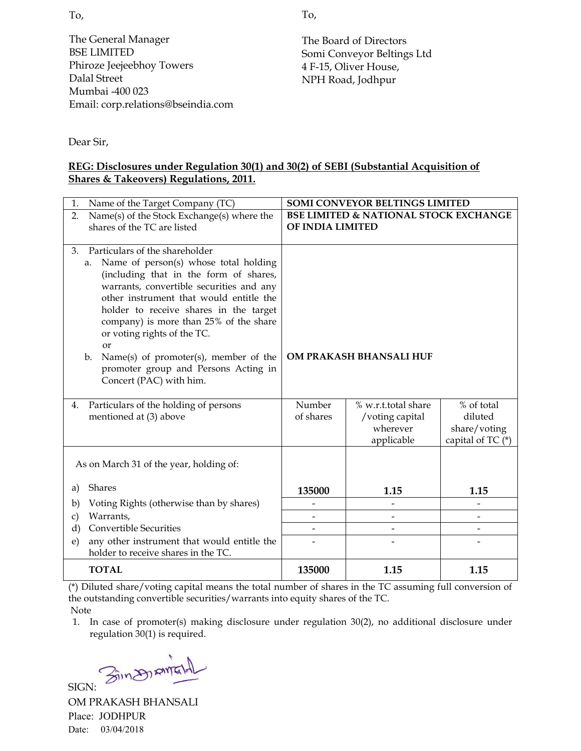The General Manager BSE LIMITED Phiroze Jeejeebhoy Towers Dalal Street Mumbai -400 023 Email: corp.relations@bseindia.com To,

The Board of Directors Somi Conveyor Beltings Ltd 4 F-15, Oliver House, NPH Road, Jodhpur

Dear Sir,

# **REG: Disclosures under Regulation 30(1) and 30(2) of SEBI (Substantial Acquisition of Shares & Takeovers) Regulations, 2011.**

| Name of the Target Company (TC)<br>1.                                                                                                                                                                                                                                                                                                                                                                                                                                      | <b>SOMI CONVEYOR BELTINGS LIMITED</b> |                                                                  |                                                            |  |
|----------------------------------------------------------------------------------------------------------------------------------------------------------------------------------------------------------------------------------------------------------------------------------------------------------------------------------------------------------------------------------------------------------------------------------------------------------------------------|---------------------------------------|------------------------------------------------------------------|------------------------------------------------------------|--|
| Name(s) of the Stock Exchange(s) where the<br>2.                                                                                                                                                                                                                                                                                                                                                                                                                           |                                       | <b>BSE LIMITED &amp; NATIONAL STOCK EXCHANGE</b>                 |                                                            |  |
| shares of the TC are listed                                                                                                                                                                                                                                                                                                                                                                                                                                                | OF INDIA LIMITED                      |                                                                  |                                                            |  |
| Particulars of the shareholder<br>3.<br>Name of person(s) whose total holding<br>a.<br>(including that in the form of shares,<br>warrants, convertible securities and any<br>other instrument that would entitle the<br>holder to receive shares in the target<br>company) is more than 25% of the share<br>or voting rights of the TC.<br><sub>or</sub><br>Name(s) of promoter(s), member of the<br>b.<br>promoter group and Persons Acting in<br>Concert (PAC) with him. |                                       | OM PRAKASH BHANSALI HUF                                          |                                                            |  |
| Particulars of the holding of persons<br>4.<br>mentioned at (3) above                                                                                                                                                                                                                                                                                                                                                                                                      | Number<br>of shares                   | % w.r.t.total share<br>/voting capital<br>wherever<br>applicable | % of total<br>diluted<br>share/voting<br>capital of TC (*) |  |
| As on March 31 of the year, holding of:                                                                                                                                                                                                                                                                                                                                                                                                                                    |                                       |                                                                  |                                                            |  |
| <b>Shares</b><br>a)                                                                                                                                                                                                                                                                                                                                                                                                                                                        | 135000                                | 1.15                                                             | 1.15                                                       |  |
| Voting Rights (otherwise than by shares)<br>$\mathbf{b}$                                                                                                                                                                                                                                                                                                                                                                                                                   |                                       |                                                                  |                                                            |  |
| Warrants,<br>$\mathbf{c})$                                                                                                                                                                                                                                                                                                                                                                                                                                                 |                                       |                                                                  |                                                            |  |
| <b>Convertible Securities</b><br>d)                                                                                                                                                                                                                                                                                                                                                                                                                                        |                                       | $\qquad \qquad \blacksquare$                                     |                                                            |  |
| any other instrument that would entitle the<br>$\epsilon$ )<br>holder to receive shares in the TC.                                                                                                                                                                                                                                                                                                                                                                         |                                       |                                                                  |                                                            |  |
| <b>TOTAL</b>                                                                                                                                                                                                                                                                                                                                                                                                                                                               | 135000                                | 1.15                                                             | 1.15                                                       |  |

(\*) Diluted share/voting capital means the total number of shares in the TC assuming full conversion of the outstanding convertible securities/warrants into equity shares of the TC. Note

1. In case of promoter(s) making disclosure under regulation 30(2), no additional disclosure under regulation 30(1) is required.

Sing, Anta

SIGN: OM PRAKASH BHANSALI Place: JODHPUR Date: 03/04/2018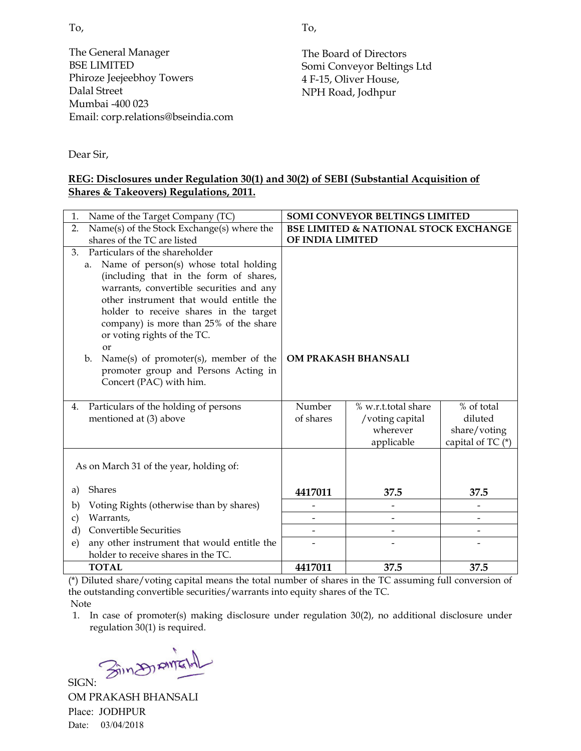To,

The General Manager BSE LIMITED Phiroze Jeejeebhoy Towers Dalal Street Mumbai -400 023 Email: corp.relations@bseindia.com

The Board of Directors Somi Conveyor Beltings Ltd 4 F-15, Oliver House, NPH Road, Jodhpur

Dear Sir,

# **REG: Disclosures under Regulation 30(1) and 30(2) of SEBI (Substantial Acquisition of Shares & Takeovers) Regulations, 2011.**

| Name of the Target Company (TC)<br>1.                                 |                                                  | SOMI CONVEYOR BELTINGS LIMITED |                     |  |
|-----------------------------------------------------------------------|--------------------------------------------------|--------------------------------|---------------------|--|
| Name(s) of the Stock Exchange(s) where the<br>2.                      | <b>BSE LIMITED &amp; NATIONAL STOCK EXCHANGE</b> |                                |                     |  |
| shares of the TC are listed                                           |                                                  | OF INDIA LIMITED               |                     |  |
| Particulars of the shareholder<br>3.                                  |                                                  |                                |                     |  |
| Name of person(s) whose total holding<br>a.                           |                                                  |                                |                     |  |
| (including that in the form of shares,                                |                                                  |                                |                     |  |
| warrants, convertible securities and any                              |                                                  |                                |                     |  |
| other instrument that would entitle the                               |                                                  |                                |                     |  |
| holder to receive shares in the target                                |                                                  |                                |                     |  |
| company) is more than 25% of the share<br>or voting rights of the TC. |                                                  |                                |                     |  |
| or                                                                    |                                                  |                                |                     |  |
| Name(s) of promoter(s), member of the<br>$\mathbf{b}$ .               | OM PRAKASH BHANSALI                              |                                |                     |  |
| promoter group and Persons Acting in                                  |                                                  |                                |                     |  |
| Concert (PAC) with him.                                               |                                                  |                                |                     |  |
|                                                                       |                                                  |                                |                     |  |
| Particulars of the holding of persons<br>4.                           | Number                                           | % w.r.t.total share            | % of total          |  |
| mentioned at (3) above                                                | of shares                                        | /voting capital                | diluted             |  |
|                                                                       |                                                  | wherever                       | share/voting        |  |
|                                                                       |                                                  | applicable                     | capital of TC $(*)$ |  |
|                                                                       |                                                  |                                |                     |  |
| As on March 31 of the year, holding of:                               |                                                  |                                |                     |  |
| <b>Shares</b><br>a)                                                   | 4417011                                          | 37.5                           | 37.5                |  |
| Voting Rights (otherwise than by shares)<br>b)                        |                                                  |                                |                     |  |
| Warrants,<br>$\mathbf{c})$                                            |                                                  |                                |                     |  |
| <b>Convertible Securities</b><br>$\rm d$                              |                                                  |                                |                     |  |
| any other instrument that would entitle the<br>e)                     |                                                  |                                |                     |  |
| holder to receive shares in the TC.                                   |                                                  |                                |                     |  |
| <b>TOTAL</b>                                                          | 4417011                                          | 37.5                           | 37.5                |  |

(\*) Diluted share/voting capital means the total number of shares in the TC assuming full conversion of the outstanding convertible securities/warrants into equity shares of the TC. Note

Sin Diana

SIGN: OM PRAKASH BHANSALI Place: JODHPUR Date: 03/04/2018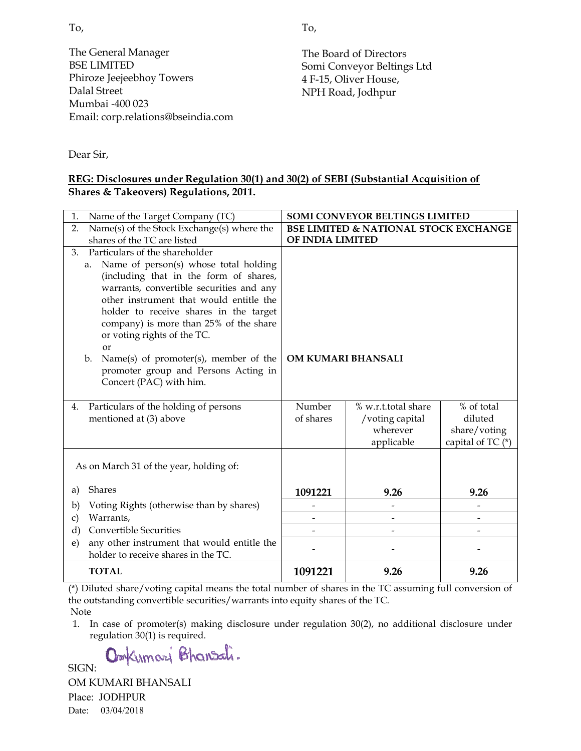To,

The General Manager BSE LIMITED Phiroze Jeejeebhoy Towers Dalal Street Mumbai -400 023 Email: corp.relations@bseindia.com The Board of Directors Somi Conveyor Beltings Ltd 4 F-15, Oliver House, NPH Road, Jodhpur

Dear Sir,

### **REG: Disclosures under Regulation 30(1) and 30(2) of SEBI (Substantial Acquisition of Shares & Takeovers) Regulations, 2011.**

| 1.            | Name of the Target Company (TC)                                                                                                                                                                                                                                                                              | <b>SOMI CONVEYOR BELTINGS LIMITED</b>            |                          |                     |  |
|---------------|--------------------------------------------------------------------------------------------------------------------------------------------------------------------------------------------------------------------------------------------------------------------------------------------------------------|--------------------------------------------------|--------------------------|---------------------|--|
| 2.            | Name(s) of the Stock Exchange(s) where the                                                                                                                                                                                                                                                                   | <b>BSE LIMITED &amp; NATIONAL STOCK EXCHANGE</b> |                          |                     |  |
|               | shares of the TC are listed                                                                                                                                                                                                                                                                                  |                                                  | OF INDIA LIMITED         |                     |  |
| 3.            | Particulars of the shareholder                                                                                                                                                                                                                                                                               |                                                  |                          |                     |  |
|               | Name of person(s) whose total holding<br>a.<br>(including that in the form of shares,<br>warrants, convertible securities and any<br>other instrument that would entitle the<br>holder to receive shares in the target<br>company) is more than 25% of the share<br>or voting rights of the TC.<br><b>or</b> |                                                  |                          |                     |  |
|               | Name(s) of promoter(s), member of the<br>$\mathbf{b}$ .<br>promoter group and Persons Acting in<br>Concert (PAC) with him.                                                                                                                                                                                   | OM KUMARI BHANSALI                               |                          |                     |  |
| 4.            | Particulars of the holding of persons                                                                                                                                                                                                                                                                        | Number                                           | % w.r.t.total share      | % of total          |  |
|               | mentioned at (3) above                                                                                                                                                                                                                                                                                       | of shares                                        | /voting capital          | diluted             |  |
|               |                                                                                                                                                                                                                                                                                                              |                                                  | wherever                 | share/voting        |  |
|               |                                                                                                                                                                                                                                                                                                              |                                                  | applicable               | capital of TC $(*)$ |  |
|               | As on March 31 of the year, holding of:                                                                                                                                                                                                                                                                      |                                                  |                          |                     |  |
| a)            | Shares                                                                                                                                                                                                                                                                                                       | 1091221                                          | 9.26                     | 9.26                |  |
| b)            | Voting Rights (otherwise than by shares)                                                                                                                                                                                                                                                                     |                                                  |                          |                     |  |
| $\mathbf{c})$ | Warrants,                                                                                                                                                                                                                                                                                                    |                                                  | $\overline{\phantom{a}}$ |                     |  |
| d)            | <b>Convertible Securities</b>                                                                                                                                                                                                                                                                                |                                                  |                          |                     |  |
| e)            | any other instrument that would entitle the<br>holder to receive shares in the TC.                                                                                                                                                                                                                           |                                                  |                          |                     |  |
|               | <b>TOTAL</b>                                                                                                                                                                                                                                                                                                 | 1091221                                          | 9.26                     | 9.26                |  |

(\*) Diluted share/voting capital means the total number of shares in the TC assuming full conversion of the outstanding convertible securities/warrants into equity shares of the TC. Note

1. In case of promoter(s) making disclosure under regulation 30(2), no additional disclosure under regulation 30(1) is required.

OmKumari Bhansali.

SIGN:

OM KUMARI BHANSALI Place: JODHPUR Date: 03/04/2018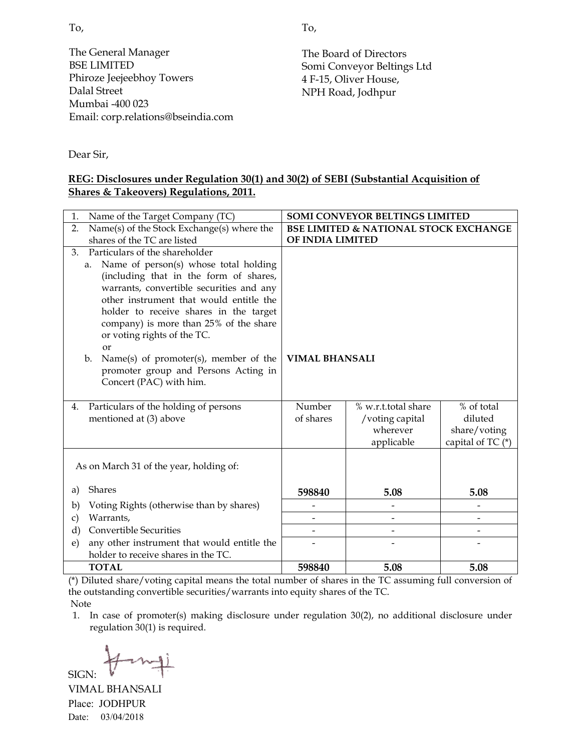To,

The General Manager BSE LIMITED Phiroze Jeejeebhoy Towers Dalal Street Mumbai -400 023 Email: corp.relations@bseindia.com

The Board of Directors Somi Conveyor Beltings Ltd 4 F-15, Oliver House, NPH Road, Jodhpur

Dear Sir,

### **REG: Disclosures under Regulation 30(1) and 30(2) of SEBI (Substantial Acquisition of Shares & Takeovers) Regulations, 2011.**

| Name of the Target Company (TC)<br>1.                                 |                       | SOMI CONVEYOR BELTINGS LIMITED                   |                   |  |
|-----------------------------------------------------------------------|-----------------------|--------------------------------------------------|-------------------|--|
| Name(s) of the Stock Exchange(s) where the<br>2.                      |                       | <b>BSE LIMITED &amp; NATIONAL STOCK EXCHANGE</b> |                   |  |
| shares of the TC are listed                                           |                       | OF INDIA LIMITED                                 |                   |  |
| Particulars of the shareholder<br>3.                                  |                       |                                                  |                   |  |
| Name of person(s) whose total holding<br>a.                           |                       |                                                  |                   |  |
| (including that in the form of shares,                                |                       |                                                  |                   |  |
| warrants, convertible securities and any                              |                       |                                                  |                   |  |
| other instrument that would entitle the                               |                       |                                                  |                   |  |
| holder to receive shares in the target                                |                       |                                                  |                   |  |
| company) is more than 25% of the share<br>or voting rights of the TC. |                       |                                                  |                   |  |
| <b>or</b>                                                             |                       |                                                  |                   |  |
| Name(s) of promoter(s), member of the<br>$\mathbf{b}$ .               | <b>VIMAL BHANSALI</b> |                                                  |                   |  |
| promoter group and Persons Acting in                                  |                       |                                                  |                   |  |
| Concert (PAC) with him.                                               |                       |                                                  |                   |  |
|                                                                       |                       |                                                  |                   |  |
| Particulars of the holding of persons<br>4.                           | Number                | % w.r.t.total share                              | % of total        |  |
| mentioned at (3) above                                                | of shares             | /voting capital                                  | diluted           |  |
|                                                                       |                       | wherever                                         | share/voting      |  |
|                                                                       |                       | applicable                                       | capital of TC (*) |  |
|                                                                       |                       |                                                  |                   |  |
| As on March 31 of the year, holding of:                               |                       |                                                  |                   |  |
| <b>Shares</b><br>a)                                                   | 598840                | 5.08                                             | 5.08              |  |
| Voting Rights (otherwise than by shares)<br>b)                        |                       |                                                  |                   |  |
| Warrants,                                                             |                       |                                                  |                   |  |
| $\mathbf{c})$<br><b>Convertible Securities</b><br>$\rm d$             |                       |                                                  |                   |  |
| any other instrument that would entitle the<br>e)                     |                       |                                                  |                   |  |
| holder to receive shares in the TC.                                   |                       |                                                  |                   |  |
| <b>TOTAL</b>                                                          | 598840                | 5.08                                             | 5.08              |  |

(\*) Diluted share/voting capital means the total number of shares in the TC assuming full conversion of the outstanding convertible securities/warrants into equity shares of the TC. Note

1. In case of promoter(s) making disclosure under regulation 30(2), no additional disclosure under regulation 30(1) is required.

SIGN:

VIMAL BHANSALI Place: JODHPUR Date: 03/04/2018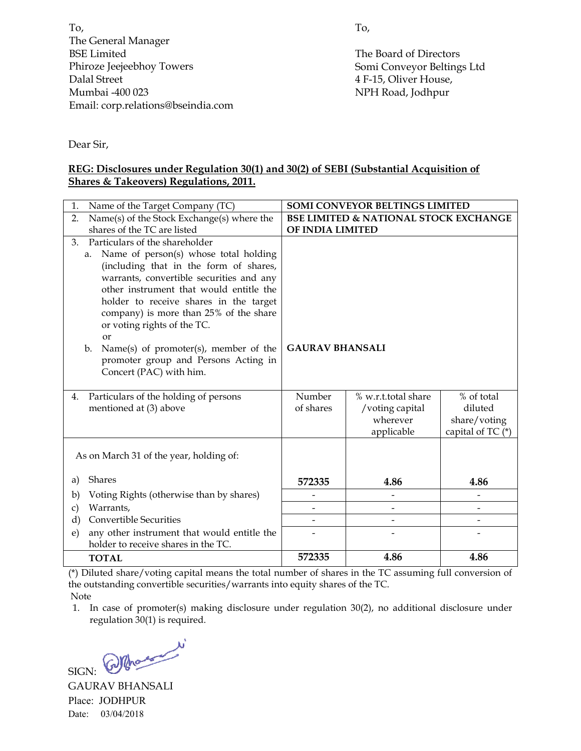To, The General Manager BSE Limited Phiroze Jeejeebhoy Towers Dalal Street Mumbai -400 023 Email: corp.relations@bseindia.com To,

The Board of Directors Somi Conveyor Beltings Ltd 4 F-15, Oliver House, NPH Road, Jodhpur

Dear Sir,

### **REG: Disclosures under Regulation 30(1) and 30(2) of SEBI (Substantial Acquisition of Shares & Takeovers) Regulations, 2011.**

| Name of the Target Company (TC)<br>1.                                            |                                                  | <b>SOMI CONVEYOR BELTINGS LIMITED</b> |                   |  |
|----------------------------------------------------------------------------------|--------------------------------------------------|---------------------------------------|-------------------|--|
| Name(s) of the Stock Exchange(s) where the<br>2.                                 | <b>BSE LIMITED &amp; NATIONAL STOCK EXCHANGE</b> |                                       |                   |  |
| shares of the TC are listed                                                      |                                                  | OF INDIA LIMITED                      |                   |  |
| Particulars of the shareholder<br>3.                                             |                                                  |                                       |                   |  |
| Name of person(s) whose total holding<br>a.                                      |                                                  |                                       |                   |  |
| (including that in the form of shares,                                           |                                                  |                                       |                   |  |
| warrants, convertible securities and any                                         |                                                  |                                       |                   |  |
| other instrument that would entitle the                                          |                                                  |                                       |                   |  |
| holder to receive shares in the target<br>company) is more than 25% of the share |                                                  |                                       |                   |  |
| or voting rights of the TC.                                                      |                                                  |                                       |                   |  |
| <sub>or</sub>                                                                    |                                                  |                                       |                   |  |
| Name(s) of promoter(s), member of the<br>$\mathbf{b}$ .                          | <b>GAURAV BHANSALI</b>                           |                                       |                   |  |
| promoter group and Persons Acting in                                             |                                                  |                                       |                   |  |
| Concert (PAC) with him.                                                          |                                                  |                                       |                   |  |
|                                                                                  |                                                  |                                       |                   |  |
| Particulars of the holding of persons<br>4.                                      | Number                                           | % w.r.t.total share                   | % of total        |  |
| mentioned at (3) above                                                           | of shares                                        | /voting capital                       | diluted           |  |
|                                                                                  |                                                  | wherever                              | share/voting      |  |
|                                                                                  |                                                  | applicable                            | capital of TC (*) |  |
| As on March 31 of the year, holding of:                                          |                                                  |                                       |                   |  |
|                                                                                  |                                                  |                                       |                   |  |
| Shares<br>a)                                                                     | 572335                                           | 4.86                                  | 4.86              |  |
| Voting Rights (otherwise than by shares)<br>b)                                   |                                                  |                                       |                   |  |
| Warrants,<br>c)                                                                  |                                                  | $\overline{\phantom{0}}$              |                   |  |
| <b>Convertible Securities</b><br>$\rm d$                                         |                                                  |                                       |                   |  |
| any other instrument that would entitle the<br>e)                                |                                                  |                                       |                   |  |
| holder to receive shares in the TC.                                              |                                                  |                                       |                   |  |
| <b>TOTAL</b>                                                                     | 572335                                           | 4.86                                  | 4.86              |  |

(\*) Diluted share/voting capital means the total number of shares in the TC assuming full conversion of the outstanding convertible securities/warrants into equity shares of the TC. Note

SIGN: Whose w

GAURAV BHANSALI Place: JODHPUR Date: 03/04/2018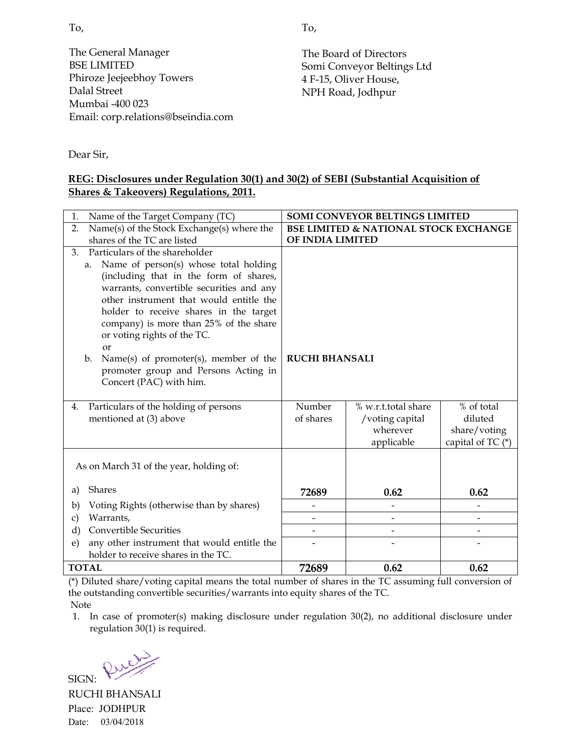To,

The General Manager BSE LIMITED Phiroze Jeejeebhoy Towers Dalal Street Mumbai -400 023 Email: corp.relations@bseindia.com

The Board of Directors Somi Conveyor Beltings Ltd 4 F-15, Oliver House, NPH Road, Jodhpur

Dear Sir,

# **REG: Disclosures under Regulation 30(1) and 30(2) of SEBI (Substantial Acquisition of Shares & Takeovers) Regulations, 2011.**

| Name of the Target Company (TC)<br>1.                                            |                                                  | SOMI CONVEYOR BELTINGS LIMITED |                       |  |
|----------------------------------------------------------------------------------|--------------------------------------------------|--------------------------------|-----------------------|--|
| Name(s) of the Stock Exchange(s) where the<br>2.                                 | <b>BSE LIMITED &amp; NATIONAL STOCK EXCHANGE</b> |                                |                       |  |
| shares of the TC are listed                                                      |                                                  | OF INDIA LIMITED               |                       |  |
| Particulars of the shareholder<br>3.                                             |                                                  |                                |                       |  |
| Name of person(s) whose total holding<br>a.                                      |                                                  |                                |                       |  |
| (including that in the form of shares,                                           |                                                  |                                |                       |  |
| warrants, convertible securities and any                                         |                                                  |                                |                       |  |
| other instrument that would entitle the                                          |                                                  |                                |                       |  |
| holder to receive shares in the target<br>company) is more than 25% of the share |                                                  |                                |                       |  |
| or voting rights of the TC.                                                      |                                                  |                                |                       |  |
| <b>or</b>                                                                        |                                                  |                                |                       |  |
| Name(s) of promoter(s), member of the<br>$\mathbf{b}$ .                          | <b>RUCHI BHANSALI</b>                            |                                |                       |  |
| promoter group and Persons Acting in                                             |                                                  |                                |                       |  |
| Concert (PAC) with him.                                                          |                                                  |                                |                       |  |
|                                                                                  |                                                  |                                |                       |  |
| Particulars of the holding of persons<br>4.                                      | Number<br>of shares                              | % w.r.t.total share            | % of total<br>diluted |  |
| mentioned at (3) above                                                           |                                                  | /voting capital<br>wherever    | share/voting          |  |
|                                                                                  |                                                  | applicable                     | capital of TC (*)     |  |
|                                                                                  |                                                  |                                |                       |  |
| As on March 31 of the year, holding of:                                          |                                                  |                                |                       |  |
|                                                                                  |                                                  |                                |                       |  |
| <b>Shares</b><br>a)                                                              | 72689                                            | 0.62                           | 0.62                  |  |
| Voting Rights (otherwise than by shares)<br>b)                                   |                                                  |                                |                       |  |
| Warrants,<br>c)                                                                  |                                                  | $\overline{a}$                 |                       |  |
| <b>Convertible Securities</b><br>d)                                              |                                                  |                                | $\overline{a}$        |  |
| any other instrument that would entitle the<br>e)                                |                                                  |                                |                       |  |
| holder to receive shares in the TC.                                              |                                                  |                                |                       |  |
| <b>TOTAL</b>                                                                     | 72689                                            | 0.62                           | 0.62                  |  |

(\*) Diluted share/voting capital means the total number of shares in the TC assuming full conversion of the outstanding convertible securities/warrants into equity shares of the TC.

Note

SIGN:

Rue

RUCHI BHANSALI Place: JODHPUR Date: 03/04/2018